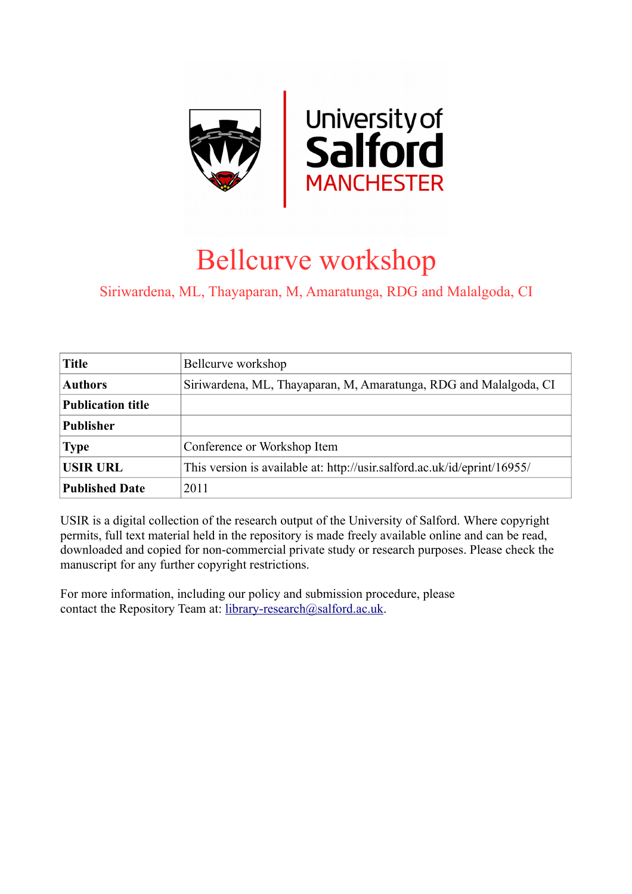

## Bellcurve workshop

Siriwardena, ML, Thayaparan, M, Amaratunga, RDG and Malalgoda, CI

| <b>Title</b>             | Bellcurve workshop                                                       |
|--------------------------|--------------------------------------------------------------------------|
| <b>Authors</b>           | Siriwardena, ML, Thayaparan, M, Amaratunga, RDG and Malalgoda, CI        |
| <b>Publication title</b> |                                                                          |
| <b>Publisher</b>         |                                                                          |
| <b>Type</b>              | Conference or Workshop Item                                              |
| <b>USIR URL</b>          | This version is available at: http://usir.salford.ac.uk/id/eprint/16955/ |
| <b>Published Date</b>    | 2011                                                                     |

USIR is a digital collection of the research output of the University of Salford. Where copyright permits, full text material held in the repository is made freely available online and can be read, downloaded and copied for non-commercial private study or research purposes. Please check the manuscript for any further copyright restrictions.

For more information, including our policy and submission procedure, please contact the Repository Team at: [library-research@salford.ac.uk.](mailto:library-research@salford.ac.uk)